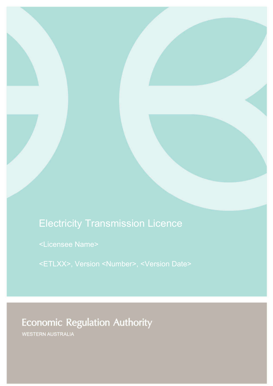# Electricity Transmission Licence

<Licensee Name>

<ETLXX>, Version <Number>, <Version Date>

# **Economic Regulation Authority**

WESTERN AUSTRALIA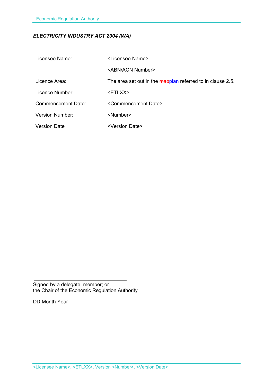# *ELECTRICITY INDUSTRY ACT 2004 (WA)*

| Licensee Name:         | <licensee name=""></licensee>                              |
|------------------------|------------------------------------------------------------|
|                        | <abn acn="" number=""></abn>                               |
| Licence Area:          | The area set out in the mapplan referred to in clause 2.5. |
| Licence Number:        | <etlxx></etlxx>                                            |
| Commencement Date:     | <commencement date=""></commencement>                      |
| <b>Version Number:</b> | <number></number>                                          |
| <b>Version Date</b>    | <version date=""></version>                                |

Signed by a delegate; member; or the Chair of the Economic Regulation Authority

DD Month Year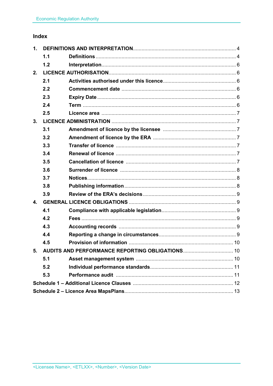# Index

| 1.                                                 |     |  |  |
|----------------------------------------------------|-----|--|--|
|                                                    | 1.1 |  |  |
|                                                    | 1.2 |  |  |
| 2.                                                 |     |  |  |
|                                                    | 2.1 |  |  |
|                                                    | 2.2 |  |  |
|                                                    | 2.3 |  |  |
|                                                    | 2.4 |  |  |
|                                                    | 2.5 |  |  |
| 3.                                                 |     |  |  |
|                                                    | 3.1 |  |  |
|                                                    | 3.2 |  |  |
|                                                    | 3.3 |  |  |
|                                                    | 3.4 |  |  |
|                                                    | 3.5 |  |  |
|                                                    | 3.6 |  |  |
|                                                    | 3.7 |  |  |
|                                                    | 3.8 |  |  |
|                                                    | 3.9 |  |  |
| $\mathbf{4}$                                       |     |  |  |
|                                                    | 4.1 |  |  |
|                                                    | 4.2 |  |  |
|                                                    | 4.3 |  |  |
|                                                    | 4.4 |  |  |
|                                                    | 4.5 |  |  |
| 5. AUDITS AND PERFORMANCE REPORTING OBLIGATIONS 10 |     |  |  |
|                                                    | 5.1 |  |  |
|                                                    | 5.2 |  |  |
|                                                    | 5.3 |  |  |
|                                                    |     |  |  |
|                                                    |     |  |  |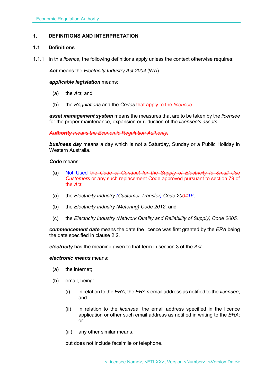# **1. DEFINITIONS AND INTERPRETATION**

# **1.1 Definitions**

1.1.1 In this *licence*, the following definitions apply unless the context otherwise requires:

*Act* means the *Electricity Industry Act 2004* (WA).

#### *applicable legislation* means:

- (a) the *Act*; and
- (b) the *Regulations* and the *Codes* that apply to the *licensee*.

*asset management system* means the measures that are to be taken by the *licensee* for the proper maintenance, expansion or reduction of the *licensee's assets*.

*Authority means the Economic Regulation Authority.* 

*business day* means a day which is not a Saturday, Sunday or a Public Holiday in Western Australia.

#### *Code* means:

- (a) Not Used the *Code of Conduct for the Supply of Electricity to Small Use Customers* or any such replacement Code approved pursuant to section 79 of the *Act*;
- (a) the *Electricity Industry (Customer Transfer) Code 200416*;
- (b) the *Electricity Industry (Metering) Code 2012*; and
- (c) the *Electricity Industry (Network Quality and Reliability of Supply) Code 2005*.

*commencement date* means the date the licence was first granted by the *ERA* being the date specified in clause 2.2.

*electricity* has the meaning given to that term in section 3 of the *Act*.

# *electronic means* means:

- (a) the internet;
- (b) email, being:
	- (i) in relation to the *ERA*, the *ERA's* email address as notified to the *licensee*; and
	- (ii) in relation to the *licensee*, the email address specified in the licence application or other such email address as notified in writing to the *ERA*; or
	- (iii) any other similar means,

but does not include facsimile or telephone.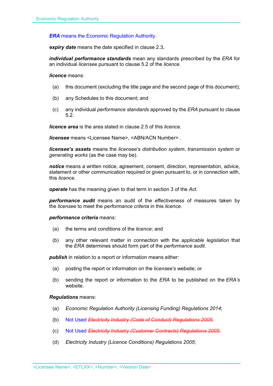### *ERA* means the Economic Regulation Authority.

*expiry date* means the date specified in clause 2.3*.*

*individual performance standards* mean any standards prescribed by the *ERA* for an individual *licensee* pursuant to clause 5.2 of the *licence*.

*licence* means:

- (a) this document (excluding the title page and the second page of this document);
- (b) any Schedules to this document; and
- (c) any individual *performance standards* approved by the *ERA* pursuant to clause 5.2.

*licence area* is the area stated in clause 2.5 of this *licence.*

*licensee* means <Licensee Name>, <ABN/ACN Number> .

*licensee's assets* means the *licensee*'s *distribution system*, *transmission system* or *generating works* (as the case may be).

*notice* means a written notice, agreement, consent, direction, representation, advice, statement or other communication required or given pursuant to, or in connection with, this *licence*.

*operate* has the meaning given to that term in section 3 of the *Act*.

*performance audit* means an audit of the effectiveness of measures taken by the *licensee* to meet the *performance criteria* in this *licence*.

*performance criteria* means:

- (a) the terms and conditions of the *licence*; and
- (b) any other relevant matter in connection with the *applicable legislation* that the *ERA* determines should form part of the *performance audit*.

**publish** in relation to a report or information means either:

- (a) posting the report or information on the *licensee's* website; or
- (b) sending the report or information to the *ERA* to be published on the *ERA's* website.

#### *Regulations* means:

- (a) *Economic Regulation Authority (Licensing Funding) Regulations 2014*;
- (b) Not Used *Electricity Industry (Code of Conduct) Regulations 2005*;
- (c) Not Used *Electricity Industry (Customer Contracts) Regulations 2005*;
- (d) *Electricity Industry (Licence Conditions) Regulations 2005*;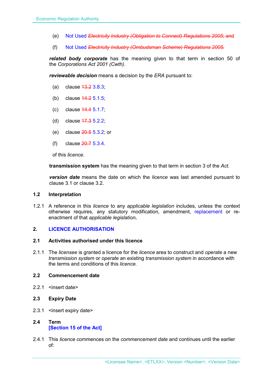- (e) Not Used *Electricity Industry (Obligation to Connect) Regulations 2005*; and
- (f) Not Used *Electricity Industry (Ombudsman Scheme) Regulations 2005.*

*related body corporate* has the meaning given to that term in section 50 of the *Corporations Act 2001 (Cwth)*.

*reviewable decision* means a decision by the *ERA* pursuant to:

- (a) clause  $43.23.8.3$ ;
- (b) clause 14.2 5.1.5;
- (c) clause 14.4 5.1.7;
- (d) clause 17.3 5.2.2;
- (e) clause 20.5 5.3.2; or
- (f) clause 20.7 5.3.4.

of this *licence*.

**transmission system** has the meaning given to that term in section 3 of the *Act*.

*version date* means the date on which the *licence* was last amended pursuant to clause 3.1 or clause 3.2.

#### **1.2 Interpretation**

1.2.1 A reference in this *licence* to any *applicable legislation* includes, unless the context otherwise requires, any statutory modification, amendment, replacement or reenactment of that *applicable legislation***.**

# **2. LICENCE AUTHORISATION**

#### **2.1 Activities authorised under this licence**

2.1.1 The *licensee* is granted a licence for the *licence* area to construct and *operate* a new *transmission system* or *operate* an existing *transmission system* in accordance with the terms and conditions of this *licence.* 

# **2.2 Commencement date**

- 2.2.1 <insert date>
- **2.3 Expiry Date**
- 2.3.1 <insert expiry date>
- **2.4 Term [Section 15 of the Act]**
- 2.4.1 This *licence* commences on the *commencement date* and continues until the earlier of: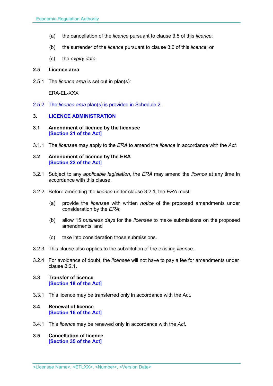- (a) the cancellation of the *licence* pursuant to clause 3.5 of this *licence*;
- (b) the surrender of the *licence* pursuant to clause 3.6 of this *licence*; or
- (c) the *expiry date*.

#### **2.5 Licence area**

2.5.1 The *licence area* is set out in plan(s):

ERA-EL-XXX

2.5.2 The *licence area* plan(s) is provided in Schedule 2.

#### **3. LICENCE ADMINISTRATION**

- **3.1 Amendment of licence by the licensee [Section 21 of the Act]**
- 3.1.1 The *licensee* may apply to the *ERA* to amend the *licence* in accordance with the *Act.*

#### **3.2 Amendment of licence by the ERA [Section 22 of the Act]**

- 3.2.1 Subject to any *applicable legislation*, the *ERA* may amend the *licence* at any time in accordance with this clause.
- 3.2.2 Before amending the *licence* under clause 3.2.1, the *ERA* must:
	- (a) provide the *licensee* with written *notice* of the proposed amendments under consideration by the *ERA*;
	- (b) allow 15 *business days* for the *licensee* to make submissions on the proposed amendments; and
	- (c) take into consideration those submissions.
- 3.2.3 This clause also applies to the substitution of the existing *licence*.
- 3.2.4 For avoidance of doubt, the *licensee* will not have to pay a fee for amendments under clause 3.2.1.

#### **3.3 Transfer of licence [Section 18 of the Act]**

- 3.3.1 This licence may be transferred only in accordance with the Act.
- **3.4 Renewal of licence [Section 16 of the Act]**
- 3.4.1 This *licence* may be renewed only in accordance with the *Act*.
- **3.5 Cancellation of licence [Section 35 of the Act]**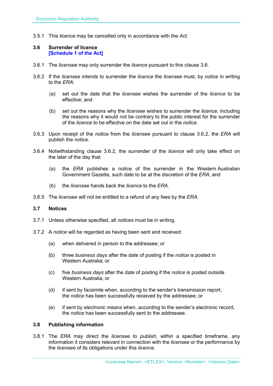3.5.1 This *licence* may be cancelled only in accordance with the *Act*.

#### **3.6 Surrender of licence [Schedule 1 of the Act]**

- 3.6.1 The *licensee* may only surrender the *licence* pursuant to this clause 3.6.
- 3.6.2 If the *licensee* intends to surrender the *licence* the *licensee* must, by *notice* in writing to the *ERA*:
	- (a) set out the date that the *licensee* wishes the surrender of the *licence* to be effective; and
	- (b) set out the reasons why the *licensee* wishes to surrender the *licence*, including the reasons why it would not be contrary to the public interest for the surrender of the *licence* to be effective on the date set out in the *notice*.
- 3.6.3 Upon receipt of the *notice* from the *licensee* pursuant to clause 3.6.2, the *ERA* will publish the *notice*.
- 3.6.4 Notwithstanding clause 3.6.2, the surrender of the *licence* will only take effect on the later of the day that:
	- (a) the *ERA* publishes a notice of the surrender in the Western Australian Government Gazette, such date to be at the discretion of the *ERA*; and
	- (b) the *licensee* hands back the *licence* to the *ERA*.
- 3.6.5 The *licensee* will not be entitled to a refund of any fees by the *ERA*.

### **3.7 Notices**

- 3.7.1 Unless otherwise specified, all *notices* must be in writing.
- 3.7.2 A *notice* will be regarded as having been sent and received:
	- (a) when delivered in person to the addressee; or
	- (b) three *business days* after the date of posting if the *notice* is posted in Western Australia; or
	- (c) five *business days* after the date of posting if the *notice* is posted outside Western Australia; or
	- (d) if sent by facsimile when, according to the sender's transmission report, the *notice* has been successfully received by the addressee; or
	- (e) if sent by *electronic means* when, according to the sender's electronic record, the *notice* has been successfully sent to the addressee.

#### **3.8 Publishing information**

3.8.1 The *ERA* may direct the *licensee* to *publish*, within a specified timeframe, any information it considers relevant in connection with the *licensee* or the performance by the *licensee* of its obligations under this *licence*.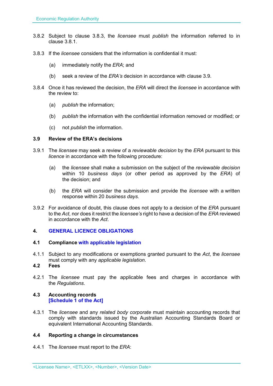- 3.8.2 Subject to clause 3.8.3, the *licensee* must *publish* the information referred to in clause 3.8.1.
- 3.8.3 If the *licensee* considers that the information is confidential it must:
	- (a) immediately notify the *ERA*; and
	- (b) seek a review of the *ERA's* decision in accordance with clause 3.9.
- 3.8.4 Once it has reviewed the decision, the *ERA* will direct the *licensee* in accordance with the review to:
	- (a) *publish* the information;
	- (b) *publish* the information with the confidential information removed or modified; or
	- (c) not *publish* the information.

## **3.9 Review of the ERA's decisions**

- 3.9.1 The *licensee* may seek a review of a *reviewable decision* by the *ERA* pursuant to this *licence* in accordance with the following procedure:
	- (a) the *licensee* shall make a submission on the subject of the *reviewable decision* within 10 *business days* (or other period as approved by the *ERA*) of the decision; and
	- (b) the *ERA* will consider the submission and provide the *licensee* with a written response within 20 *business days*.
- 3.9.2 For avoidance of doubt, this clause does not apply to a decision of the *ERA* pursuant to the *Act*, nor does it restrict the *licensee's* right to have a decision of the *ERA* reviewed in accordance with the *Act*.

# **4. GENERAL LICENCE OBLIGATIONS**

#### **4.1 Compliance with applicable legislation**

- 4.1.1 Subject to any modifications or exemptions granted pursuant to the *Act*, the *licensee* must comply with any *applicable legislation*.
- **4.2 Fees**
- 4.2.1 The *licensee* must pay the applicable fees and charges in accordance with the *Regulations*.

### **4.3 Accounting records [Schedule 1 of the Act]**

4.3.1 The *licensee* and any *related body corporate* must maintain accounting records that comply with standards issued by the Australian Accounting Standards Board or equivalent International Accounting Standards.

# **4.4 Reporting a change in circumstances**

4.4.1 The *licensee* must report to the *ERA*: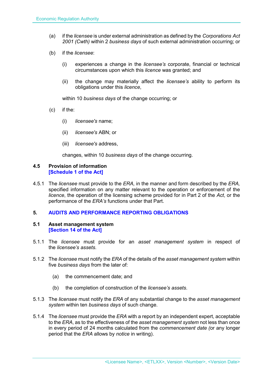- (a) if the *licensee* is under external administration as defined by the *Corporations Act 2001 (Cwth)* within 2 *business days* of such external administration occurring; or
- (b) if the *licensee*:
	- (i) experiences a change in the *licensee's* corporate, financial or technical circumstances upon which this *licence* was granted; and
	- (ii) the change may materially affect the *licensee's* ability to perform its obligations under this *licence*,

within 10 *business days* of the change occurring; or

- (c) if the:
	- (i) *licensee's* name;
	- (ii) *licensee's* ABN; or
	- (iii) *licensee's* address,

changes, within 10 *business days* of the change occurring.

#### **4.5 Provision of information [Schedule 1 of the Act]**

4.5.1 The *licensee* must provide to the *ERA,* in the manner and form described by the *ERA,*  specified information on any matter relevant to the operation or enforcement of the *licence*, the operation of the licensing scheme provided for in Part 2 of the *Act*, or the performance of the *ERA's* functions under that Part.

#### **5. AUDITS AND PERFORMANCE REPORTING OBLIGATIONS**

#### **5.1 Asset management system [Section 14 of the Act]**

- 5.1.1 The *licensee* must provide for an *asset management system* in respect of the *licensee's assets*.
- 5.1.2 The *licensee* must notify the *ERA* of the details of the *asset management system* within five *business days* from the later of:
	- (a) the commencement date; and
	- (b) the completion of construction of the *licensee's assets*.
- 5.1.3 The *licensee* must notify the *ERA* of any substantial change to the *asset management system* within ten *business days* of such change.
- 5.1.4 The *licensee* must provide the *ERA* with a report by an independent expert, acceptable to the *ERA*, as to the effectiveness of the *asset management system* not less than once in every period of 24 months calculated from the *commencement date (*or any longer period that the *ERA* allows by *notice* in writing).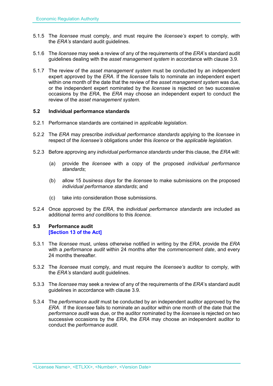- 5.1.5 The *licensee* must comply, and must require the *licensee's* expert to comply, with the *ERA's* standard audit guidelines.
- 5.1.6 The *licensee* may seek a review of any of the requirements of the *ERA*'s standard audit guidelines dealing with the *asset management system* in accordance with clause 3.9.
- 5.1.7 The review of the *asset management system* must be conducted by an independent expert approved by the *ERA*. If the *licensee* fails to nominate an independent expert within one month of the date that the review of the *asset management system* was due, or the independent expert nominated by the *licensee* is rejected on two successive occasions by the *ERA*, the *ERA* may choose an independent expert to conduct the review of the *asset management system*.

### **5.2 Individual performance standards**

- 5.2.1 Performance standards are contained in *applicable legislation*.
- 5.2.2 The *ERA* may prescribe *individual performance standards* applying to the *licensee* in respect of the *licensee's* obligations under this *licence* or the *applicable legislation*.
- 5.2.3 Before approving any *individual performance standards* under this clause, the *ERA* will:
	- (a) provide the *licensee* with a copy of the proposed *individual performance standards*;
	- (b) allow 15 *business days* for the *licensee* to make submissions on the proposed *individual performance standards*; and
	- (c) take into consideration those submissions.
- 5.2.4 Once approved by the *ERA*, the *individual performance standards* are included as additional *terms and conditions* to this *licence*.

### **5.3 Performance audit [Section 13 of the Act]**

- 5.3.1 The *licensee* must, unless otherwise notified in writing by the *ERA*, provide the *ERA* with a *performance audit* within 24 months after the *commencement date*, and every 24 months thereafter
- 5.3.2 The *licensee* must comply, and must require the *licensee's* auditor to comply, with the *ERA's* standard audit guidelines.
- 5.3.3 The *licensee* may seek a review of any of the requirements of the *ERA*'s standard audit guidelines in accordance with clause 3.9.
- 5.3.4 The *performance audit* must be conducted by an independent auditor approved by the *ERA*. If the *licensee* fails to nominate an auditor within one month of the date that the *performance audit* was due, or the auditor nominated by the *licensee* is rejected on two successive occasions by the *ERA*, the *ERA* may choose an independent auditor to conduct the *performance audit*.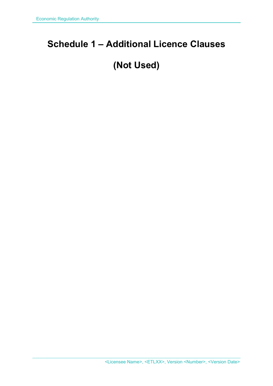# **Schedule 1 – Additional Licence Clauses**

# **(Not Used)**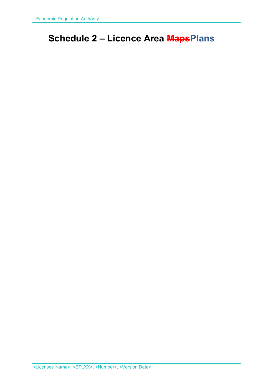# **Schedule 2 – Licence Area MapsPlans**